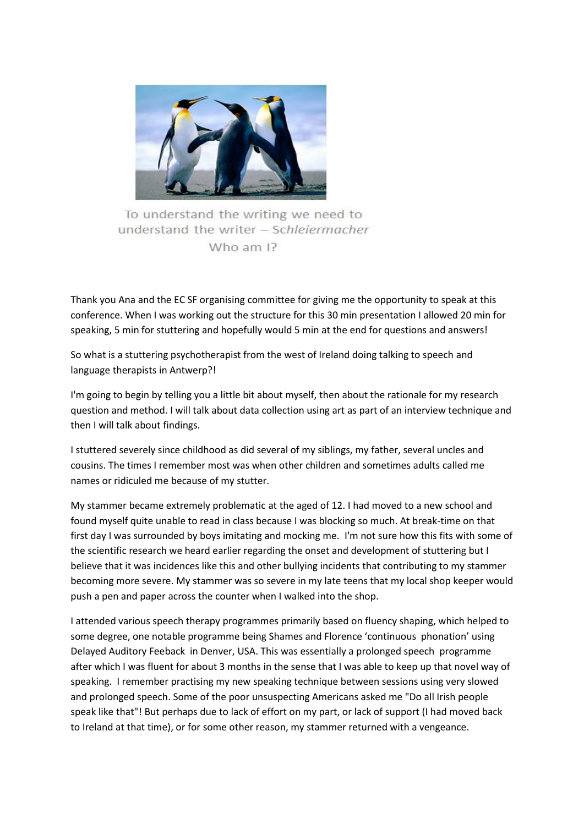

To understand the writing we need to understand the writer - Schleiermacher Who am 1?

Thank you Ana and the EC SF organising committee for giving me the opportunity to speak at this conference. When I was working out the structure for this 30 min presentation I allowed 20 min for speaking, 5 min for stuttering and hopefully would 5 min at the end for questions and answers!

So what is a stuttering psychotherapist from the west of Ireland doing talking to speech and language therapists in Antwerp?!

I'm going to begin by telling you a little bit about myself, then about the rationale for my research question and method. I will talk about data collection using art as part of an interview technique and then I will talk about findings.

I stuttered severely since childhood as did several of my siblings, my father, several uncles and cousins. The times I remember most was when other children and sometimes adults called me names or ridiculed me because of my stutter.

My stammer became extremely problematic at the aged of 12. I had moved to a new school and found myself quite unable to read in class because I was blocking so much. At break-time on that first day I was surrounded by boys imitating and mocking me. I'm not sure how this fits with some of the scientific research we heard earlier regarding the onset and development of stuttering but I believe that it was incidences like this and other bullying incidents that contributing to my stammer becoming more severe. My stammer was so severe in my late teens that my local shop keeper would push a pen and paper across the counter when I walked into the shop.

I attended various speech therapy programmes primarily based on fluency shaping, which helped to some degree, one notable programme being Shames and Florence 'continuous phonation' using Delayed Auditory Feeback in Denver, USA. This was essentially a prolonged speech programme after which I was fluent for about 3 months in the sense that I was able to keep up that novel way of speaking. I remember practising my new speaking technique between sessions using very slowed and prolonged speech. Some of the poor unsuspecting Americans asked me "Do all Irish people speak like that"! But perhaps due to lack of effort on my part, or lack of support (I had moved back to Ireland at that time), or for some other reason, my stammer returned with a vengeance.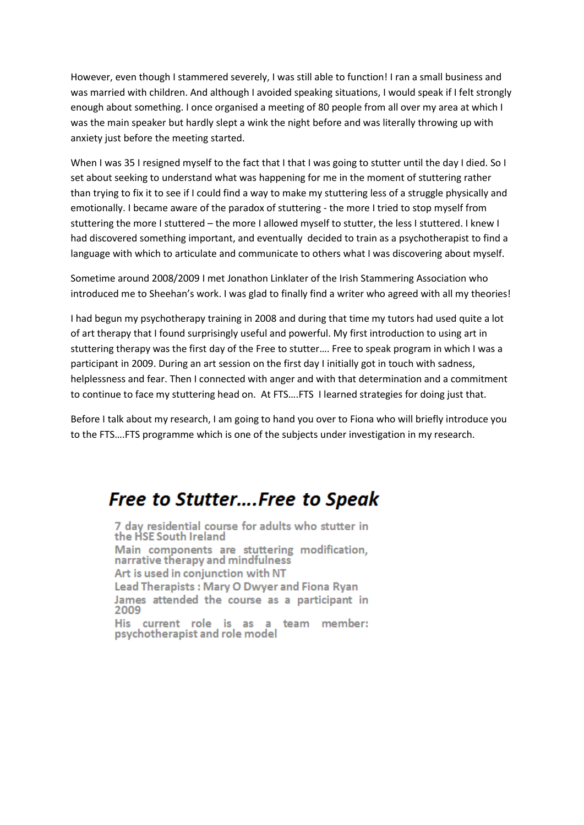However, even though I stammered severely, I was still able to function! I ran a small business and was married with children. And although I avoided speaking situations, I would speak if I felt strongly enough about something. I once organised a meeting of 80 people from all over my area at which I was the main speaker but hardly slept a wink the night before and was literally throwing up with anxiety just before the meeting started.

When I was 35 I resigned myself to the fact that I that I was going to stutter until the day I died. So I set about seeking to understand what was happening for me in the moment of stuttering rather than trying to fix it to see if I could find a way to make my stuttering less of a struggle physically and emotionally. I became aware of the paradox of stuttering - the more I tried to stop myself from stuttering the more I stuttered – the more I allowed myself to stutter, the less I stuttered. I knew I had discovered something important, and eventually decided to train as a psychotherapist to find a language with which to articulate and communicate to others what I was discovering about myself.

Sometime around 2008/2009 I met Jonathon Linklater of the Irish Stammering Association who introduced me to Sheehan's work. I was glad to finally find a writer who agreed with all my theories!

I had begun my psychotherapy training in 2008 and during that time my tutors had used quite a lot of art therapy that I found surprisingly useful and powerful. My first introduction to using art in stuttering therapy was the first day of the Free to stutter…. Free to speak program in which I was a participant in 2009. During an art session on the first day I initially got in touch with sadness, helplessness and fear. Then I connected with anger and with that determination and a commitment to continue to face my stuttering head on. At FTS….FTS I learned strategies for doing just that.

Before I talk about my research, I am going to hand you over to Fiona who will briefly introduce you to the FTS….FTS programme which is one of the subjects under investigation in my research.

## **Free to Stutter....Free to Speak**

7 day residential course for adults who stutter in the HSE South Ireland Main components are stuttering modification. narrative therapy and mindfulness Art is used in conjunction with NT Lead Therapists: Mary O Dwyer and Fiona Ryan James attended the course as a participant in 2009 His current role is as a team member: psychotherapist and role model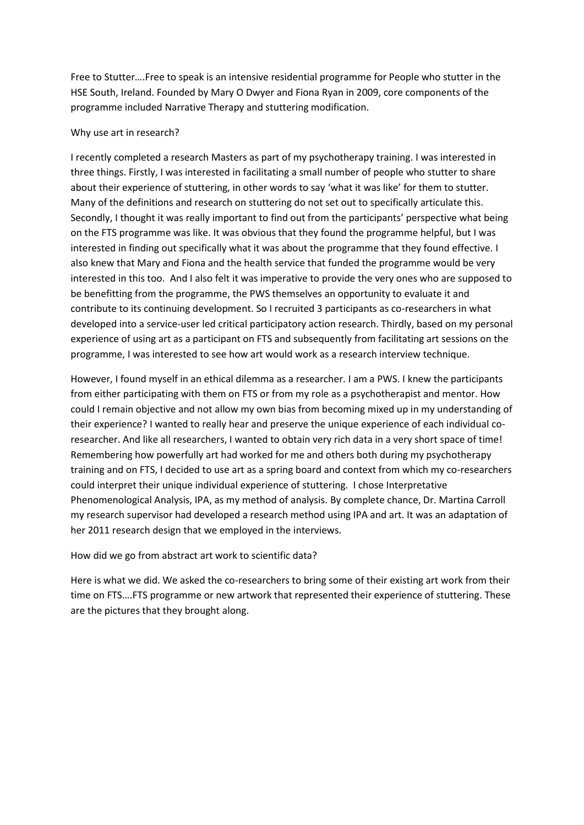Free to Stutter….Free to speak is an intensive residential programme for People who stutter in the HSE South, Ireland. Founded by Mary O Dwyer and Fiona Ryan in 2009, core components of the programme included Narrative Therapy and stuttering modification.

## Why use art in research?

I recently completed a research Masters as part of my psychotherapy training. I was interested in three things. Firstly, I was interested in facilitating a small number of people who stutter to share about their experience of stuttering, in other words to say 'what it was like' for them to stutter. Many of the definitions and research on stuttering do not set out to specifically articulate this. Secondly, I thought it was really important to find out from the participants' perspective what being on the FTS programme was like. It was obvious that they found the programme helpful, but I was interested in finding out specifically what it was about the programme that they found effective. I also knew that Mary and Fiona and the health service that funded the programme would be very interested in this too. And I also felt it was imperative to provide the very ones who are supposed to be benefitting from the programme, the PWS themselves an opportunity to evaluate it and contribute to its continuing development. So I recruited 3 participants as co-researchers in what developed into a service-user led critical participatory action research. Thirdly, based on my personal experience of using art as a participant on FTS and subsequently from facilitating art sessions on the programme, I was interested to see how art would work as a research interview technique.

However, I found myself in an ethical dilemma as a researcher. I am a PWS. I knew the participants from either participating with them on FTS or from my role as a psychotherapist and mentor. How could I remain objective and not allow my own bias from becoming mixed up in my understanding of their experience? I wanted to really hear and preserve the unique experience of each individual coresearcher. And like all researchers, I wanted to obtain very rich data in a very short space of time! Remembering how powerfully art had worked for me and others both during my psychotherapy training and on FTS, I decided to use art as a spring board and context from which my co-researchers could interpret their unique individual experience of stuttering. I chose Interpretative Phenomenological Analysis, IPA, as my method of analysis. By complete chance, Dr. Martina Carroll my research supervisor had developed a research method using IPA and art. It was an adaptation of her 2011 research design that we employed in the interviews.

How did we go from abstract art work to scientific data?

Here is what we did. We asked the co-researchers to bring some of their existing art work from their time on FTS….FTS programme or new artwork that represented their experience of stuttering. These are the pictures that they brought along.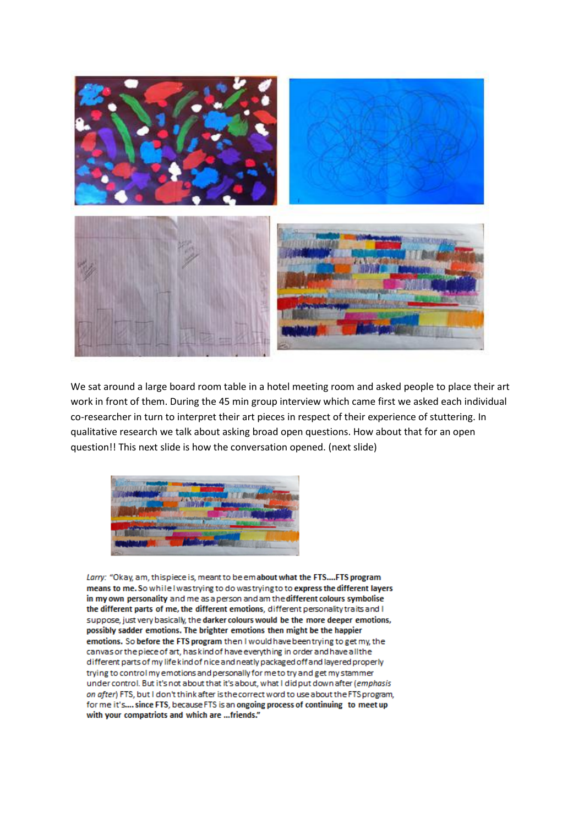

We sat around a large board room table in a hotel meeting room and asked people to place their art work in front of them. During the 45 min group interview which came first we asked each individual co-researcher in turn to interpret their art pieces in respect of their experience of stuttering. In qualitative research we talk about asking broad open questions. How about that for an open question!! This next slide is how the conversation opened. (next slide)



Larry: "Okay, am, thispiece is, meant to be emabout what the FTS....FTS program means to me. So while I was trying to do was trying to to express the different layers in my own personality and me as a person and am the different colours symbolise the different parts of me, the different emotions, different personality traits and I suppose, just very basically, the darker colours would be the more deeper emotions, possibly sadder emotions. The brighter emotions then might be the happier emotions. So before the FTS program then I would have been trying to get my, the canvas or the piece of art, has kind of have everything in order and have all the different parts of my life kind of nice and neatly packaged off and layered properly trying to control my emotions and personally for me to try and get my stammer under control. But it's not about that it's about, what I did put down after (emphasis on after) FTS, but I don't think after is the correct word to use about the FTS program, for me it's..., since FTS, because FTS is an ongoing process of continuing to meet up with your compatriots and which are ... friends."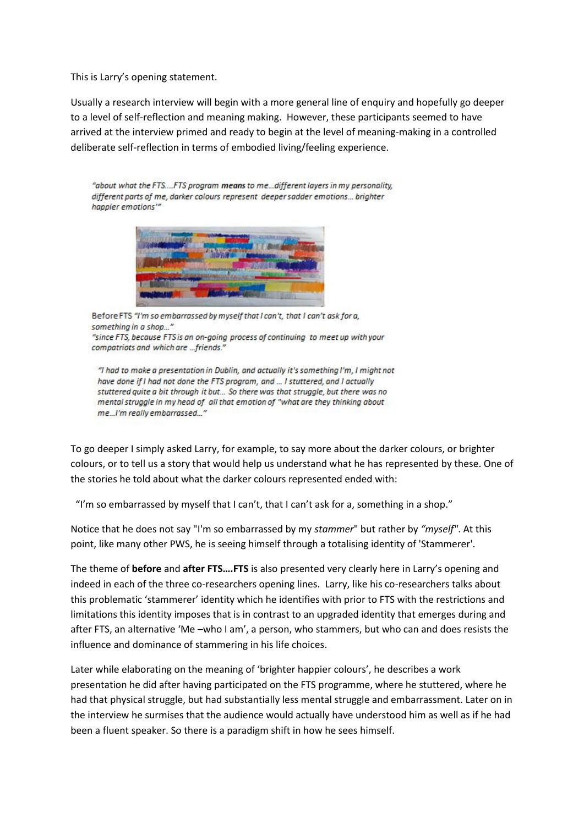This is Larry's opening statement.

Usually a research interview will begin with a more general line of enquiry and hopefully go deeper to a level of self-reflection and meaning making. However, these participants seemed to have arrived at the interview primed and ready to begin at the level of meaning-making in a controlled deliberate self-reflection in terms of embodied living/feeling experience.

"about what the FTS....FTS program means to me...different layers in my personality, different parts of me, darker colours represent deeper sadder emotions... brighter happier emotions"



Before FTS "I'm so embarrassed by myself that I can't, that I can't ask for a, something in a shop..." "since FTS, because FTS is an on-going process of continuing to meet up with your

compatriots and which are ... friends."

"I had to make a presentation in Dublin, and actually it's something I'm, I might not have done if I had not done the FTS program, and ... I stuttered, and I actually stuttered quite a bit through it but... So there was that struggle, but there was no mental struggle in my head of all that emotion of "what are they thinking about me...I'm really embarrassed..."

To go deeper I simply asked Larry, for example, to say more about the darker colours, or brighter colours, or to tell us a story that would help us understand what he has represented by these. One of the stories he told about what the darker colours represented ended with:

"I'm so embarrassed by myself that I can't, that I can't ask for a, something in a shop."

Notice that he does not say "I'm so embarrassed by my *stammer*" but rather by *"myself"*. At this point, like many other PWS, he is seeing himself through a totalising identity of 'Stammerer'.

The theme of **before** and **after FTS….FTS** is also presented very clearly here in Larry's opening and indeed in each of the three co-researchers opening lines. Larry, like his co-researchers talks about this problematic 'stammerer' identity which he identifies with prior to FTS with the restrictions and limitations this identity imposes that is in contrast to an upgraded identity that emerges during and after FTS, an alternative 'Me –who I am', a person, who stammers, but who can and does resists the influence and dominance of stammering in his life choices.

Later while elaborating on the meaning of 'brighter happier colours', he describes a work presentation he did after having participated on the FTS programme, where he stuttered, where he had that physical struggle, but had substantially less mental struggle and embarrassment. Later on in the interview he surmises that the audience would actually have understood him as well as if he had been a fluent speaker. So there is a paradigm shift in how he sees himself.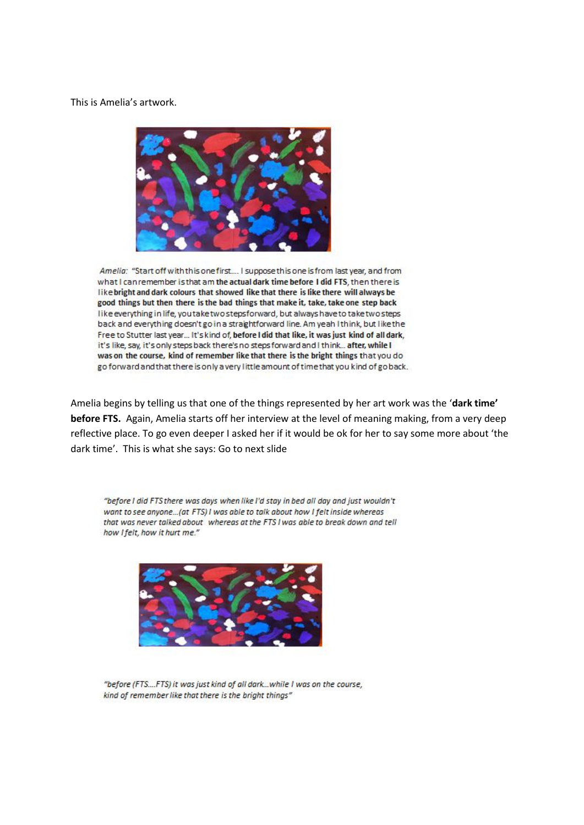This is Amelia's artwork.



Amelia: "Start off with this one first.... I suppose this one is from last year, and from what I can remember is that am the actual dark time before I did FTS, then there is like bright and dark colours that showed like that there is like there will always be good things but then there is the bad things that make it, take, take one step back like everything in life, you take two steps forward, but always have to take two steps back and everything doesn't go in a straightforward line. Am yeah I think, but like the Free to Stutter last year... It's kind of, before I did that like, it was just kind of all dark, it's like, say, it's only steps back there's no steps forward and I think... after, while I was on the course, kind of remember like that there is the bright things that you do go forward and that there is only a very little amount of time that you kind of go back.

Amelia begins by telling us that one of the things represented by her art work was the '**dark time' before FTS.** Again, Amelia starts off her interview at the level of meaning making, from a very deep reflective place. To go even deeper I asked her if it would be ok for her to say some more about 'the dark time'. This is what she says: Go to next slide

"before I did FTS there was days when like I'd stay in bed all day and just wouldn't want to see anyone...(at FTS) I was able to talk about how I felt inside whereas that was never talked about whereas at the FTS I was able to break down and tell how I felt, how it hurt me."



"before (FTS....FTS) it was just kind of all dark...while I was on the course, kind of remember like that there is the bright things"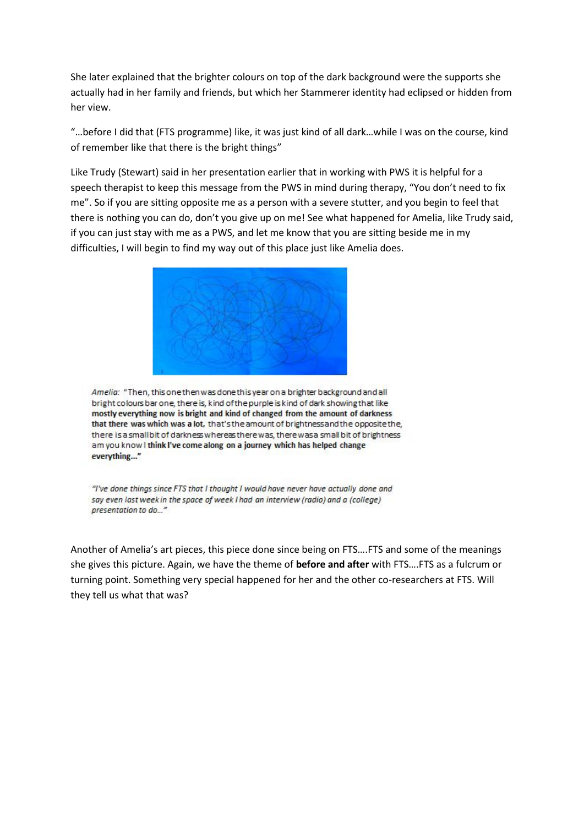She later explained that the brighter colours on top of the dark background were the supports she actually had in her family and friends, but which her Stammerer identity had eclipsed or hidden from her view.

"…before I did that (FTS programme) like, it was just kind of all dark…while I was on the course, kind of remember like that there is the bright things"

Like Trudy (Stewart) said in her presentation earlier that in working with PWS it is helpful for a speech therapist to keep this message from the PWS in mind during therapy, "You don't need to fix me". So if you are sitting opposite me as a person with a severe stutter, and you begin to feel that there is nothing you can do, don't you give up on me! See what happened for Amelia, like Trudy said, if you can just stay with me as a PWS, and let me know that you are sitting beside me in my difficulties, I will begin to find my way out of this place just like Amelia does.



Amelia: "Then, this one then was done this year on a brighter background and all bright colours bar one, there is, kind of the purple is kind of dark showing that like mostly everything now is bright and kind of changed from the amount of darkness that there was which was a lot, that's the amount of brightness and the opposite the, there is a small bit of darkness whereas there was, there was a small bit of brightness am you know I think I've come along on a journey which has helped change everything..."

"I've done things since FTS that I thought I would have never have actually done and say even last week in the space of week I had an interview (radio) and a (college) presentation to do..."

Another of Amelia's art pieces, this piece done since being on FTS….FTS and some of the meanings she gives this picture. Again, we have the theme of **before and after** with FTS….FTS as a fulcrum or turning point. Something very special happened for her and the other co-researchers at FTS. Will they tell us what that was?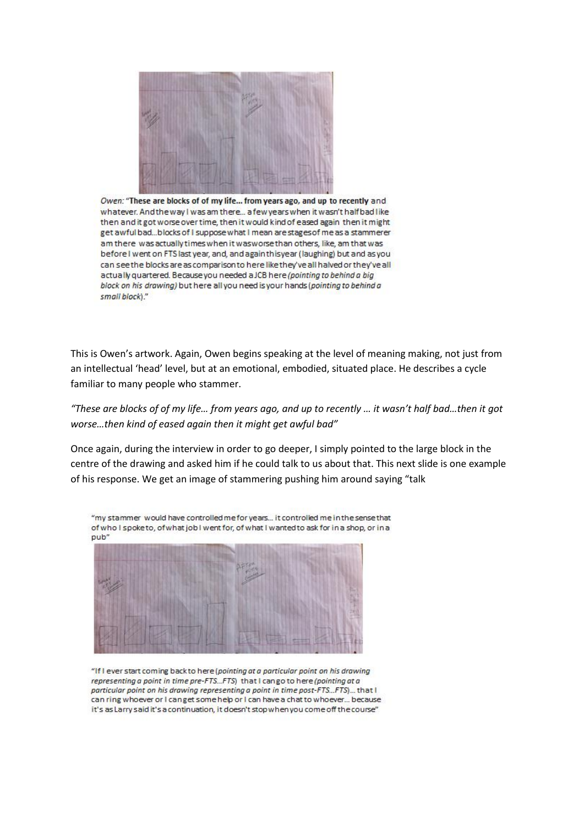

Owen: "These are blocks of of my life... from years ago, and up to recently and whatever. And the way I was am there... a few years when it wasn't half bad like then and it got worse over time, then it would kind of eased again then it might get awful bad...blocks of I suppose what I mean are stages of me as a stammerer am there was actually times when it was worse than others, like, am that was before I went on FTS last year, and, and again thisyear (laughing) but and as you can see the blocks are as comparison to here like they've all halved or they've all actually quartered. Because you needed a JCB here (pointing to behind a big block on his drawing) but here all you need is your hands (pointing to behind a small block)."

This is Owen's artwork. Again, Owen begins speaking at the level of meaning making, not just from an intellectual 'head' level, but at an emotional, embodied, situated place. He describes a cycle familiar to many people who stammer.

## *"These are blocks of of my life… from years ago, and up to recently … it wasn't half bad…then it got worse…then kind of eased again then it might get awful bad"*

Once again, during the interview in order to go deeper, I simply pointed to the large block in the centre of the drawing and asked him if he could talk to us about that. This next slide is one example of his response. We get an image of stammering pushing him around saying "talk

"my stammer would have controlled me for years... it controlled me in the sense that of who I spoke to, of what job I went for, of what I wanted to ask for in a shop, or in a pub"



"If I ever start coming back to here (pointing at a particular point on his drawing representing a point in time pre-FTS...FTS) that I cango to here (pointing at a particular point on his drawing representing a point in time post-FTS...FTS)... that I can ring whoever or I canget some help or I can have a chat to whoever... because it's as Larry said it's a continuation, it doesn't stop when you come off the course"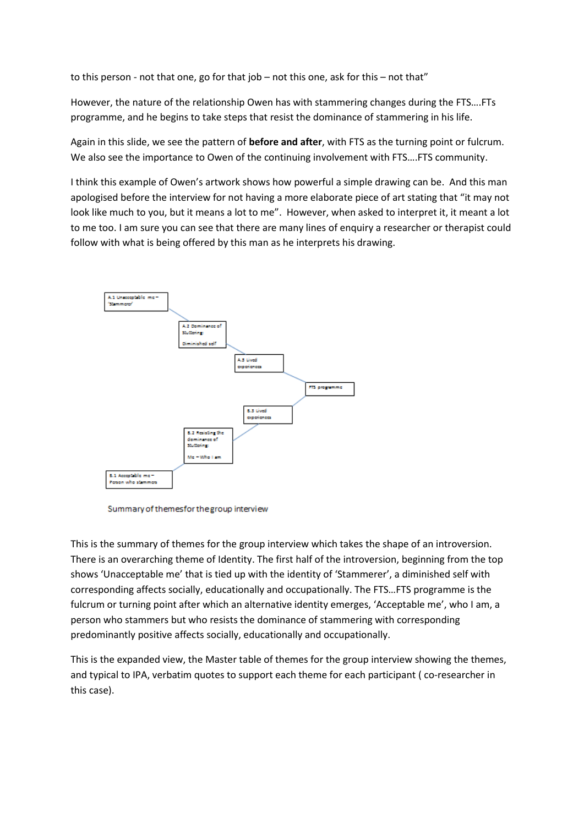to this person - not that one, go for that job – not this one, ask for this – not that"

However, the nature of the relationship Owen has with stammering changes during the FTS….FTs programme, and he begins to take steps that resist the dominance of stammering in his life.

Again in this slide, we see the pattern of **before and after**, with FTS as the turning point or fulcrum. We also see the importance to Owen of the continuing involvement with FTS....FTS community.

I think this example of Owen's artwork shows how powerful a simple drawing can be. And this man apologised before the interview for not having a more elaborate piece of art stating that "it may not look like much to you, but it means a lot to me". However, when asked to interpret it, it meant a lot to me too. I am sure you can see that there are many lines of enquiry a researcher or therapist could follow with what is being offered by this man as he interprets his drawing.



Summary of themesfor the group interview

This is the summary of themes for the group interview which takes the shape of an introversion. There is an overarching theme of Identity. The first half of the introversion, beginning from the top shows 'Unacceptable me' that is tied up with the identity of 'Stammerer', a diminished self with corresponding affects socially, educationally and occupationally. The FTS…FTS programme is the fulcrum or turning point after which an alternative identity emerges, 'Acceptable me', who I am, a person who stammers but who resists the dominance of stammering with corresponding predominantly positive affects socially, educationally and occupationally.

This is the expanded view, the Master table of themes for the group interview showing the themes, and typical to IPA, verbatim quotes to support each theme for each participant ( co-researcher in this case).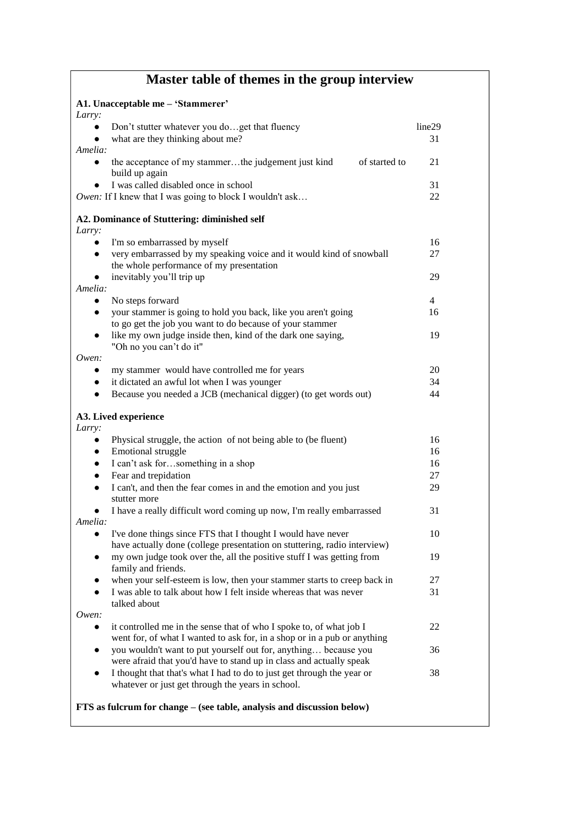| Master table of themes in the group interview                                                                                                                |                |  |
|--------------------------------------------------------------------------------------------------------------------------------------------------------------|----------------|--|
| A1. Unacceptable me - 'Stammerer'<br>Larry:                                                                                                                  |                |  |
| Don't stutter whatever you doget that fluency<br>what are they thinking about me?<br>Amelia:                                                                 | line29<br>31   |  |
| of started to<br>the acceptance of my stammerthe judgement just kind<br>build up again                                                                       | 21             |  |
| I was called disabled once in school<br>Owen: If I knew that I was going to block I wouldn't ask                                                             | 31<br>22       |  |
| A2. Dominance of Stuttering: diminished self<br>Larry:                                                                                                       |                |  |
| I'm so embarrassed by myself<br>$\bullet$                                                                                                                    | 16             |  |
| very embarrassed by my speaking voice and it would kind of snowball<br>$\bullet$<br>the whole performance of my presentation                                 | 27             |  |
| inevitably you'll trip up<br>Amelia:                                                                                                                         | 29             |  |
| No steps forward<br>$\bullet$                                                                                                                                | $\overline{4}$ |  |
| your stammer is going to hold you back, like you aren't going<br>$\bullet$<br>to go get the job you want to do because of your stammer                       | 16             |  |
| like my own judge inside then, kind of the dark one saying,<br>$\bullet$<br>"Oh no you can't do it"                                                          | 19             |  |
| Owen:                                                                                                                                                        |                |  |
| my stammer would have controlled me for years<br>$\bullet$                                                                                                   | 20             |  |
| it dictated an awful lot when I was younger<br>$\bullet$<br>Because you needed a JCB (mechanical digger) (to get words out)<br>$\bullet$                     | 34<br>44       |  |
|                                                                                                                                                              |                |  |
| A3. Lived experience<br>Larry:                                                                                                                               |                |  |
| Physical struggle, the action of not being able to (be fluent)<br>$\bullet$                                                                                  | 16             |  |
| Emotional struggle<br>$\bullet$                                                                                                                              | 16             |  |
| I can't ask forsomething in a shop<br>$\bullet$                                                                                                              | 16             |  |
| Fear and trepidation<br>$\bullet$                                                                                                                            | 27             |  |
| I can't, and then the fear comes in and the emotion and you just<br>$\bullet$<br>stutter more                                                                | 29             |  |
| I have a really difficult word coming up now, I'm really embarrassed<br>Amelia:                                                                              | 31             |  |
| I've done things since FTS that I thought I would have never<br>$\bullet$<br>have actually done (college presentation on stuttering, radio interview)        | 10             |  |
| my own judge took over the, all the positive stuff I was getting from<br>$\bullet$<br>family and friends.                                                    | 19             |  |
| when your self-esteem is low, then your stammer starts to creep back in<br>$\bullet$                                                                         | 27             |  |
| I was able to talk about how I felt inside whereas that was never<br>$\bullet$<br>talked about<br>Owen:                                                      | 31             |  |
| it controlled me in the sense that of who I spoke to, of what job I<br>$\bullet$<br>went for, of what I wanted to ask for, in a shop or in a pub or anything | 22             |  |
| you wouldn't want to put yourself out for, anything because you<br>$\bullet$<br>were afraid that you'd have to stand up in class and actually speak          | 36             |  |
| I thought that that's what I had to do to just get through the year or<br>$\bullet$<br>whatever or just get through the years in school.                     | 38             |  |
| FTS as fulcrum for change – (see table, analysis and discussion below)                                                                                       |                |  |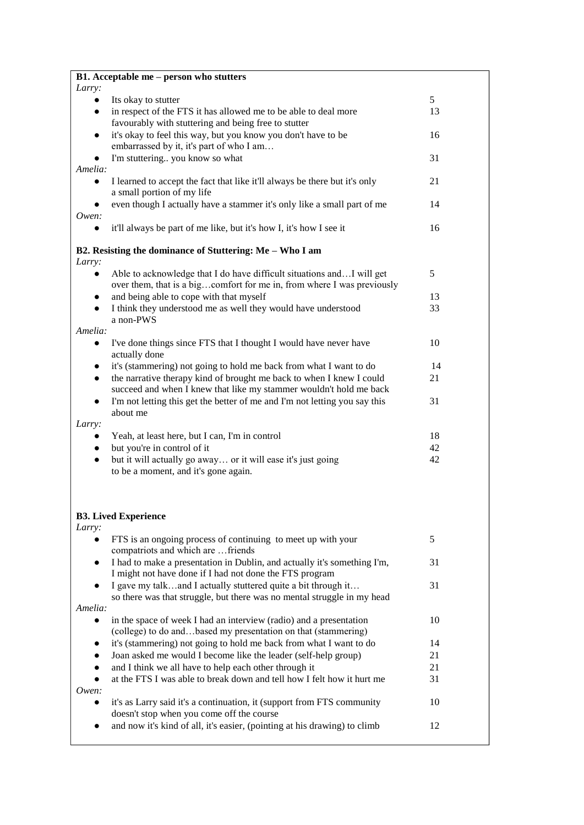| B1. Acceptable me - person who stutters                                                                                                          |    |
|--------------------------------------------------------------------------------------------------------------------------------------------------|----|
| Larry:                                                                                                                                           |    |
| Its okay to stutter                                                                                                                              | 5  |
| in respect of the FTS it has allowed me to be able to deal more<br>$\bullet$<br>favourably with stuttering and being free to stutter             | 13 |
| it's okay to feel this way, but you know you don't have to be<br>$\bullet$                                                                       | 16 |
| embarrassed by it, it's part of who I am                                                                                                         |    |
| I'm stuttering you know so what                                                                                                                  | 31 |
| Amelia:                                                                                                                                          |    |
| I learned to accept the fact that like it'll always be there but it's only                                                                       | 21 |
| a small portion of my life<br>even though I actually have a stammer it's only like a small part of me                                            | 14 |
| Owen:                                                                                                                                            |    |
| it'll always be part of me like, but it's how I, it's how I see it                                                                               | 16 |
| B2. Resisting the dominance of Stuttering: Me - Who I am<br>Larry:                                                                               |    |
| Able to acknowledge that I do have difficult situations andI will get                                                                            | 5  |
| over them, that is a bigcomfort for me in, from where I was previously                                                                           |    |
| and being able to cope with that myself<br>$\bullet$                                                                                             | 13 |
| I think they understood me as well they would have understood<br>$\bullet$                                                                       | 33 |
| a non-PWS<br>Amelia:                                                                                                                             |    |
| I've done things since FTS that I thought I would have never have<br>$\bullet$                                                                   | 10 |
| actually done                                                                                                                                    |    |
| it's (stammering) not going to hold me back from what I want to do<br>$\bullet$                                                                  | 14 |
| the narrative therapy kind of brought me back to when I knew I could<br>$\bullet$                                                                | 21 |
| succeed and when I knew that like my stammer wouldn't hold me back                                                                               |    |
| I'm not letting this get the better of me and I'm not letting you say this<br>$\bullet$<br>about me                                              | 31 |
| Larry:                                                                                                                                           |    |
| Yeah, at least here, but I can, I'm in control<br>$\bullet$                                                                                      | 18 |
| but you're in control of it<br>$\bullet$                                                                                                         | 42 |
| but it will actually go away or it will ease it's just going<br>$\bullet$                                                                        | 42 |
| to be a moment, and it's gone again.                                                                                                             |    |
|                                                                                                                                                  |    |
| <b>B3. Lived Experience</b>                                                                                                                      |    |
| Larry:                                                                                                                                           |    |
| FTS is an ongoing process of continuing to meet up with your<br>compatriots and which are  friends                                               | 5  |
| I had to make a presentation in Dublin, and actually it's something I'm,<br>$\bullet$<br>I might not have done if I had not done the FTS program | 31 |
| I gave my talkand I actually stuttered quite a bit through it                                                                                    | 31 |
| so there was that struggle, but there was no mental struggle in my head                                                                          |    |
| Amelia:                                                                                                                                          |    |
| in the space of week I had an interview (radio) and a presentation<br>$\bullet$                                                                  | 10 |
| (college) to do andbased my presentation on that (stammering)<br>it's (stammering) not going to hold me back from what I want to do              | 14 |
| Joan asked me would I become like the leader (self-help group)<br>$\bullet$                                                                      | 21 |
| and I think we all have to help each other through it<br>$\bullet$                                                                               | 21 |
| at the FTS I was able to break down and tell how I felt how it hurt me                                                                           | 31 |
| Owen:                                                                                                                                            |    |
| it's as Larry said it's a continuation, it (support from FTS community<br>$\bullet$                                                              | 10 |
| doesn't stop when you come off the course<br>and now it's kind of all, it's easier, (pointing at his drawing) to climb                           | 12 |
|                                                                                                                                                  |    |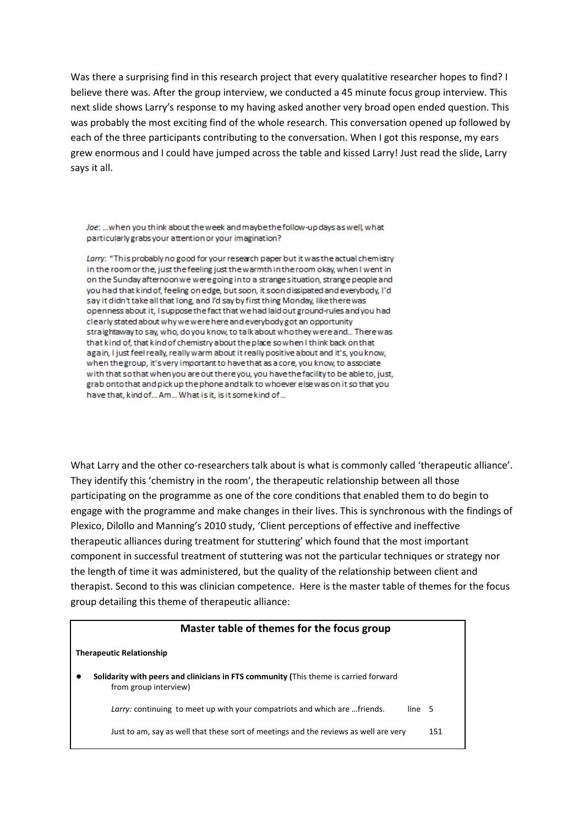Was there a surprising find in this research project that every qualatitive researcher hopes to find? I believe there was. After the group interview, we conducted a 45 minute focus group interview. This next slide shows Larry's response to my having asked another very broad open ended question. This was probably the most exciting find of the whole research. This conversation opened up followed by each of the three participants contributing to the conversation. When I got this response, my ears grew enormous and I could have jumped across the table and kissed Larry! Just read the slide, Larry says it all.

Joe: ...when you think about the week and maybe the follow-up days as well, what particularly grabs your attention or your imagination?

Larry: "This probably no good for your research paper but it was the actual chemistry in the room or the, just the feeling just the warmth in the room okay, when I went in on the Sunday afternoon we were going in to a strange situation, strange people and you had that kind of, feeling on edge, but soon, it soon dissipated and everybody, I'd say it didn't take all that long, and I'd say by first thing Monday, like there was openness about it, I suppose the fact that we had laid out ground-rules and you had clearly stated about why we were here and everybody got an opportunity straightaway to say, who, doyou know, to talk about who they were and... There was that kind of, that kind of chemistry about the place so when I think back on that again, I just feel really, really warm about it really positive about and it's, you know, when the group, it's very important to have that as a core, you know, to associate with that so that when you are out there you, you have the facility to be able to, just, grab onto that and pick up the phone and talk to whoever else was on it so that you have that, kind of... Am... What is it, is it some kind of...

What Larry and the other co-researchers talk about is what is commonly called 'therapeutic alliance'. They identify this 'chemistry in the room', the therapeutic relationship between all those participating on the programme as one of the core conditions that enabled them to do begin to engage with the programme and make changes in their lives. This is synchronous with the findings of Plexico, Dilollo and Manning's 2010 study, 'Client perceptions of effective and ineffective therapeutic alliances during treatment for stuttering' which found that the most important component in successful treatment of stuttering was not the particular techniques or strategy nor the length of time it was administered, but the quality of the relationship between client and therapist. Second to this was clinician competence. Here is the master table of themes for the focus group detailing this theme of therapeutic alliance:

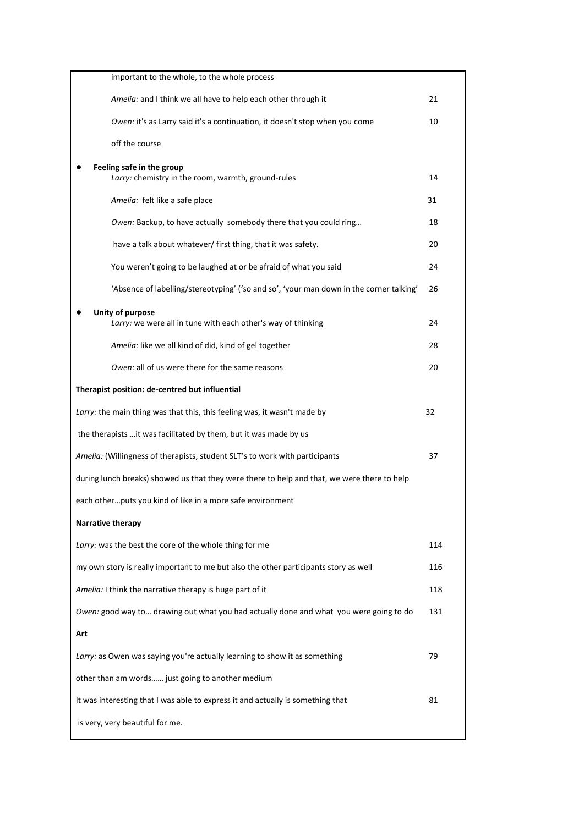| important to the whole, to the whole process                                                |     |
|---------------------------------------------------------------------------------------------|-----|
| Amelia: and I think we all have to help each other through it                               | 21  |
| Owen: it's as Larry said it's a continuation, it doesn't stop when you come                 | 10  |
| off the course                                                                              |     |
| Feeling safe in the group                                                                   |     |
| Larry: chemistry in the room, warmth, ground-rules                                          | 14  |
| Amelia: felt like a safe place                                                              | 31  |
| Owen: Backup, to have actually somebody there that you could ring                           | 18  |
| have a talk about whatever/ first thing, that it was safety.                                | 20  |
| You weren't going to be laughed at or be afraid of what you said                            | 24  |
| 'Absence of labelling/stereotyping' ('so and so', 'your man down in the corner talking'     | 26  |
| Unity of purpose                                                                            |     |
| Larry: we were all in tune with each other's way of thinking                                | 24  |
| Amelia: like we all kind of did, kind of gel together                                       | 28  |
| Owen: all of us were there for the same reasons                                             | 20  |
| Therapist position: de-centred but influential                                              |     |
| Larry: the main thing was that this, this feeling was, it wasn't made by                    | 32  |
| the therapists  it was facilitated by them, but it was made by us                           |     |
| Amelia: (Willingness of therapists, student SLT's to work with participants                 | 37  |
| during lunch breaks) showed us that they were there to help and that, we were there to help |     |
| each otherputs you kind of like in a more safe environment                                  |     |
| Narrative therapy                                                                           |     |
| Larry: was the best the core of the whole thing for me                                      | 114 |
| my own story is really important to me but also the other participants story as well        | 116 |
|                                                                                             |     |
| Amelia: I think the narrative therapy is huge part of it                                    | 118 |
| Owen: good way to drawing out what you had actually done and what you were going to do      | 131 |
| Art                                                                                         |     |
| Larry: as Owen was saying you're actually learning to show it as something                  | 79  |
| other than am words just going to another medium                                            |     |
| It was interesting that I was able to express it and actually is something that             | 81  |